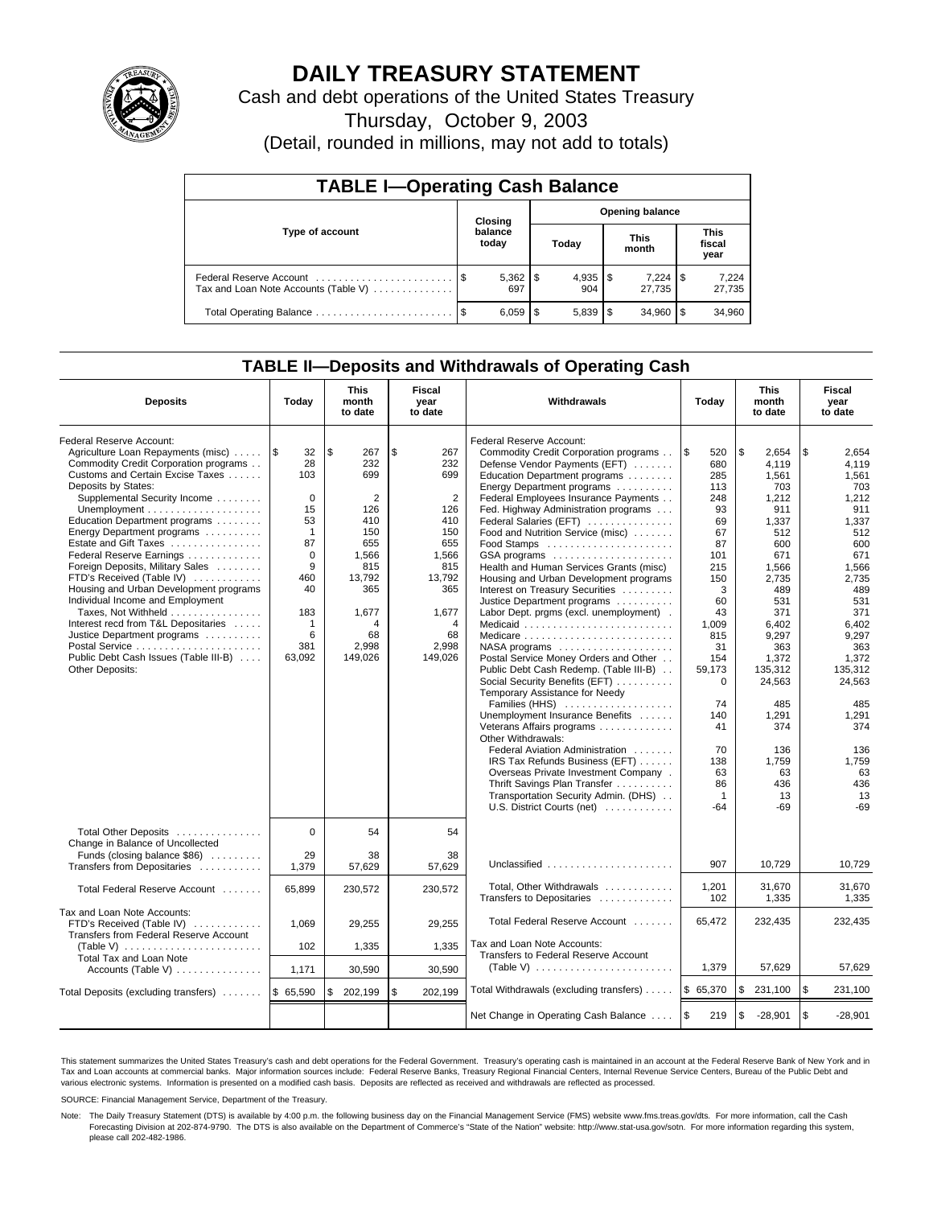

# **DAILY TREASURY STATEMENT**

Cash and debt operations of the United States Treasury

Thursday, October 9, 2003

(Detail, rounded in millions, may not add to totals)

| <b>TABLE I-Operating Cash Balance</b>                           |    |                     |      |                        |  |                      |  |                               |  |
|-----------------------------------------------------------------|----|---------------------|------|------------------------|--|----------------------|--|-------------------------------|--|
| <b>Opening balance</b><br>Closing                               |    |                     |      |                        |  |                      |  |                               |  |
| Type of account                                                 |    | balance<br>today    |      | Today                  |  | <b>This</b><br>month |  | <b>This</b><br>fiscal<br>year |  |
| Federal Reserve Account<br>Tax and Loan Note Accounts (Table V) |    | $5,362$   \$<br>697 |      | 904                    |  | 7,224<br>27.735      |  | 7,224<br>27,735               |  |
| Total Operating Balance                                         | \$ | 6,059               | l \$ | $5.839$ $\frac{15}{6}$ |  | 34.960               |  | 34,960                        |  |

## **TABLE II—Deposits and Withdrawals of Operating Cash**

| <b>Deposits</b>                                                                                                                                                                                                                                                                                                                                                                                                                                                                                                                                                                                                                                         | Today                                                                                                                                    | <b>This</b><br>month<br>to date                                                                                                                | <b>Fiscal</b><br>year<br>to date                                                                                                  | Withdrawals                                                                                                                                                                                                                                                                                                                                                                                                                                                                                                                                                                                                                                                                                                                                                                                                                                                                                                                                                                                                                     | Today                                                                                                                                                                                       | <b>This</b><br>month<br>to date                                                                                                                                                                                                      | Fiscal<br>year<br>to date                                                                                                                                                                                                            |
|---------------------------------------------------------------------------------------------------------------------------------------------------------------------------------------------------------------------------------------------------------------------------------------------------------------------------------------------------------------------------------------------------------------------------------------------------------------------------------------------------------------------------------------------------------------------------------------------------------------------------------------------------------|------------------------------------------------------------------------------------------------------------------------------------------|------------------------------------------------------------------------------------------------------------------------------------------------|-----------------------------------------------------------------------------------------------------------------------------------|---------------------------------------------------------------------------------------------------------------------------------------------------------------------------------------------------------------------------------------------------------------------------------------------------------------------------------------------------------------------------------------------------------------------------------------------------------------------------------------------------------------------------------------------------------------------------------------------------------------------------------------------------------------------------------------------------------------------------------------------------------------------------------------------------------------------------------------------------------------------------------------------------------------------------------------------------------------------------------------------------------------------------------|---------------------------------------------------------------------------------------------------------------------------------------------------------------------------------------------|--------------------------------------------------------------------------------------------------------------------------------------------------------------------------------------------------------------------------------------|--------------------------------------------------------------------------------------------------------------------------------------------------------------------------------------------------------------------------------------|
| Federal Reserve Account:<br>Agriculture Loan Repayments (misc)<br>Commodity Credit Corporation programs<br>Customs and Certain Excise Taxes<br>Deposits by States:<br>Supplemental Security Income<br>Education Department programs<br>Energy Department programs<br>Estate and Gift Taxes<br>Federal Reserve Earnings<br>Foreign Deposits, Military Sales<br>FTD's Received (Table IV)<br>Housing and Urban Development programs<br>Individual Income and Employment<br>Taxes, Not Withheld<br>Interest recd from T&L Depositaries<br>Justice Department programs<br>Postal Service<br>Public Debt Cash Issues (Table III-B)<br><b>Other Deposits:</b> | ۱\$<br>32<br>28<br>103<br>0<br>15<br>53<br>$\mathbf{1}$<br>87<br>$\Omega$<br>9<br>460<br>40<br>183<br>$\mathbf{1}$<br>6<br>381<br>63,092 | \$<br>267<br>232<br>699<br>$\overline{2}$<br>126<br>410<br>150<br>655<br>1,566<br>815<br>13,792<br>365<br>1,677<br>4<br>68<br>2,998<br>149,026 | \$<br>267<br>232<br>699<br>2<br>126<br>410<br>150<br>655<br>1,566<br>815<br>13,792<br>365<br>1,677<br>4<br>68<br>2,998<br>149,026 | Federal Reserve Account:<br>Commodity Credit Corporation programs<br>Defense Vendor Payments (EFT)<br>Education Department programs<br>Energy Department programs<br>Federal Employees Insurance Payments<br>Fed. Highway Administration programs<br>Federal Salaries (EFT)<br>Food and Nutrition Service (misc)<br>GSA programs<br>Health and Human Services Grants (misc)<br>Housing and Urban Development programs<br>Interest on Treasury Securities<br>Justice Department programs<br>Labor Dept. prgms (excl. unemployment).<br>Medicaid<br>Medicare<br>$NASA$ programs $\ldots \ldots \ldots \ldots \ldots$<br>Postal Service Money Orders and Other<br>Public Debt Cash Redemp. (Table III-B)<br>Social Security Benefits (EFT)<br>Temporary Assistance for Needy<br>Families (HHS)<br>Unemployment Insurance Benefits<br>Veterans Affairs programs<br>Other Withdrawals:<br>Federal Aviation Administration<br>IRS Tax Refunds Business (EFT)<br>Overseas Private Investment Company .<br>Thrift Savings Plan Transfer | \$<br>520<br>680<br>285<br>113<br>248<br>93<br>69<br>67<br>87<br>101<br>215<br>150<br>3<br>60<br>43<br>1,009<br>815<br>31<br>154<br>59,173<br>0<br>74<br>140<br>41<br>70<br>138<br>63<br>86 | \$<br>2,654<br>4.119<br>1,561<br>703<br>1,212<br>911<br>1,337<br>512<br>600<br>671<br>1,566<br>2,735<br>489<br>531<br>371<br>6.402<br>9,297<br>363<br>1,372<br>135,312<br>24,563<br>485<br>1,291<br>374<br>136<br>1,759<br>63<br>436 | \$<br>2,654<br>4.119<br>1,561<br>703<br>1,212<br>911<br>1,337<br>512<br>600<br>671<br>1,566<br>2.735<br>489<br>531<br>371<br>6.402<br>9,297<br>363<br>1,372<br>135,312<br>24,563<br>485<br>1,291<br>374<br>136<br>1,759<br>63<br>436 |
|                                                                                                                                                                                                                                                                                                                                                                                                                                                                                                                                                                                                                                                         |                                                                                                                                          |                                                                                                                                                |                                                                                                                                   | Transportation Security Admin. (DHS)<br>U.S. District Courts (net)                                                                                                                                                                                                                                                                                                                                                                                                                                                                                                                                                                                                                                                                                                                                                                                                                                                                                                                                                              | $\mathbf{1}$<br>-64                                                                                                                                                                         | 13<br>-69                                                                                                                                                                                                                            | 13<br>$-69$                                                                                                                                                                                                                          |
| Total Other Deposits<br>Change in Balance of Uncollected                                                                                                                                                                                                                                                                                                                                                                                                                                                                                                                                                                                                | $\mathbf 0$                                                                                                                              | 54                                                                                                                                             | 54                                                                                                                                |                                                                                                                                                                                                                                                                                                                                                                                                                                                                                                                                                                                                                                                                                                                                                                                                                                                                                                                                                                                                                                 |                                                                                                                                                                                             |                                                                                                                                                                                                                                      |                                                                                                                                                                                                                                      |
| Funds (closing balance \$86)<br>Transfers from Depositaries                                                                                                                                                                                                                                                                                                                                                                                                                                                                                                                                                                                             | 29<br>1,379                                                                                                                              | 38<br>57,629                                                                                                                                   | 38<br>57,629                                                                                                                      | Unclassified                                                                                                                                                                                                                                                                                                                                                                                                                                                                                                                                                                                                                                                                                                                                                                                                                                                                                                                                                                                                                    | 907                                                                                                                                                                                         | 10.729                                                                                                                                                                                                                               | 10.729                                                                                                                                                                                                                               |
| Total Federal Reserve Account                                                                                                                                                                                                                                                                                                                                                                                                                                                                                                                                                                                                                           | 65,899                                                                                                                                   | 230,572                                                                                                                                        | 230,572                                                                                                                           | Total, Other Withdrawals<br>Transfers to Depositaries                                                                                                                                                                                                                                                                                                                                                                                                                                                                                                                                                                                                                                                                                                                                                                                                                                                                                                                                                                           | 1,201<br>102                                                                                                                                                                                | 31,670<br>1,335                                                                                                                                                                                                                      | 31,670<br>1,335                                                                                                                                                                                                                      |
| Tax and Loan Note Accounts:<br>FTD's Received (Table IV)<br>Transfers from Federal Reserve Account                                                                                                                                                                                                                                                                                                                                                                                                                                                                                                                                                      | 1.069                                                                                                                                    | 29,255                                                                                                                                         | 29,255                                                                                                                            | Total Federal Reserve Account                                                                                                                                                                                                                                                                                                                                                                                                                                                                                                                                                                                                                                                                                                                                                                                                                                                                                                                                                                                                   | 65,472                                                                                                                                                                                      | 232,435                                                                                                                                                                                                                              | 232,435                                                                                                                                                                                                                              |
| (Table V) $\ldots \ldots \ldots \ldots \ldots \ldots \ldots$                                                                                                                                                                                                                                                                                                                                                                                                                                                                                                                                                                                            | 102                                                                                                                                      | 1,335                                                                                                                                          | 1,335                                                                                                                             | Tax and Loan Note Accounts:<br>Transfers to Federal Reserve Account                                                                                                                                                                                                                                                                                                                                                                                                                                                                                                                                                                                                                                                                                                                                                                                                                                                                                                                                                             |                                                                                                                                                                                             |                                                                                                                                                                                                                                      |                                                                                                                                                                                                                                      |
| Total Tax and Loan Note<br>Accounts (Table V)                                                                                                                                                                                                                                                                                                                                                                                                                                                                                                                                                                                                           | 1,171                                                                                                                                    | 30,590                                                                                                                                         | 30,590                                                                                                                            | (Table V) $\ldots \ldots \ldots \ldots \ldots \ldots \ldots$                                                                                                                                                                                                                                                                                                                                                                                                                                                                                                                                                                                                                                                                                                                                                                                                                                                                                                                                                                    | 1,379                                                                                                                                                                                       | 57,629                                                                                                                                                                                                                               | 57,629                                                                                                                                                                                                                               |
| Total Deposits (excluding transfers)    \$ 65,590                                                                                                                                                                                                                                                                                                                                                                                                                                                                                                                                                                                                       |                                                                                                                                          | \$<br>202,199                                                                                                                                  | \$<br>202,199                                                                                                                     | Total Withdrawals (excluding transfers)                                                                                                                                                                                                                                                                                                                                                                                                                                                                                                                                                                                                                                                                                                                                                                                                                                                                                                                                                                                         | \$65,370                                                                                                                                                                                    | \$<br>231,100                                                                                                                                                                                                                        | <b>S</b><br>231,100                                                                                                                                                                                                                  |
|                                                                                                                                                                                                                                                                                                                                                                                                                                                                                                                                                                                                                                                         |                                                                                                                                          |                                                                                                                                                |                                                                                                                                   | Net Change in Operating Cash Balance                                                                                                                                                                                                                                                                                                                                                                                                                                                                                                                                                                                                                                                                                                                                                                                                                                                                                                                                                                                            | l \$<br>219                                                                                                                                                                                 | \$<br>$-28,901$                                                                                                                                                                                                                      | $\sqrt{3}$<br>$-28,901$                                                                                                                                                                                                              |

This statement summarizes the United States Treasury's cash and debt operations for the Federal Government. Treasury's operating cash is maintained in an account at the Federal Reserve Bank of New York and in Tax and Loan accounts at commercial banks. Major information sources include: Federal Reserve Banks, Treasury Regional Financial Centers, Internal Revenue Service Centers, Bureau of the Public Debt and<br>various electronic s

SOURCE: Financial Management Service, Department of the Treasury.

Note: The Daily Treasury Statement (DTS) is available by 4:00 p.m. the following business day on the Financial Management Service (FMS) website www.fms.treas.gov/dts. For more information, call the Cash Forecasting Division at 202-874-9790. The DTS is also available on the Department of Commerce's "State of the Nation" website: http://www.stat-usa.gov/sotn. For more information regarding this system, please call 202-482-1986.